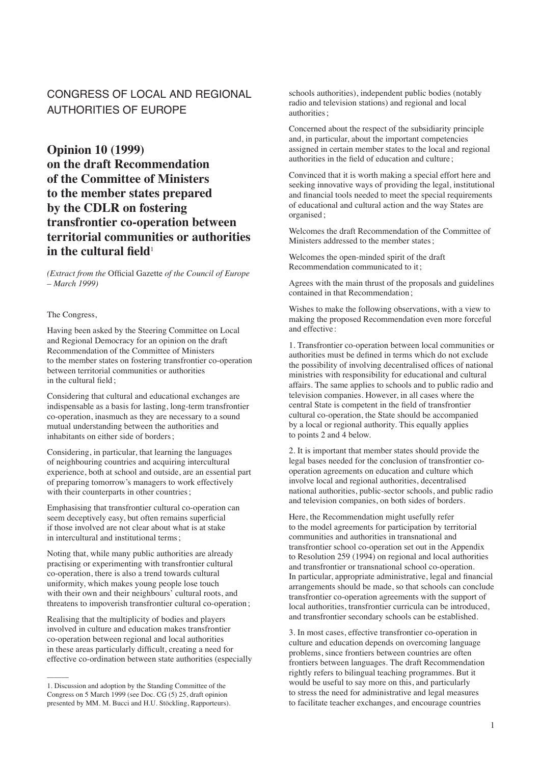# CONGRESS OF LOCAL AND REGIONAL AUTHORITIES OF EUROPE

**Opinion 10 (1999) on the draft Recommendation of the Committee of Ministers to the member states prepared by the CDLR on fostering transfrontier co-operation between territorial communities or authorities in the cultural field**<sup>1</sup>

*(Extract from the* Official Gazette *of the Council of Europe – March 1999)*

### The Congress,

Having been asked by the Steering Committee on Local and Regional Democracy for an opinion on the draft Recommendation of the Committee of Ministers to the member states on fostering transfrontier co-operation between territorial communities or authorities in the cultural field;

Considering that cultural and educational exchanges are indispensable as a basis for lasting, long-term transfrontier co-operation, inasmuch as they are necessary to a sound mutual understanding between the authorities and inhabitants on either side of borders;

Considering, in particular, that learning the languages of neighbouring countries and acquiring intercultural experience, both at school and outside, are an essential part of preparing tomorrow's managers to work effectively with their counterparts in other countries;

Emphasising that transfrontier cultural co-operation can seem deceptively easy, but often remains superficial if those involved are not clear about what is at stake in intercultural and institutional terms ;

Noting that, while many public authorities are already practising or experimenting with transfrontier cultural co-operation, there is also a trend towards cultural uniformity, which makes young people lose touch with their own and their neighbours' cultural roots, and threatens to impoverish transfrontier cultural co-operation;

Realising that the multiplicity of bodies and players involved in culture and education makes transfrontier co-operation between regional and local authorities in these areas particularly difficult, creating a need for effective co-ordination between state authorities (especially

 $\overline{\phantom{a}}$ 

schools authorities), independent public bodies (notably radio and television stations) and regional and local authorities;

Concerned about the respect of the subsidiarity principle and, in particular, about the important competencies assigned in certain member states to the local and regional authorities in the field of education and culture ;

Convinced that it is worth making a special effort here and seeking innovative ways of providing the legal, institutional and financial tools needed to meet the special requirements of educational and cultural action and the way States are organised ;

Welcomes the draft Recommendation of the Committee of Ministers addressed to the member states ;

Welcomes the open-minded spirit of the draft Recommendation communicated to it ;

Agrees with the main thrust of the proposals and guidelines contained in that Recommendation;

Wishes to make the following observations, with a view to making the proposed Recommendation even more forceful and effective :

1. Transfrontier co-operation between local communities or authorities must be defined in terms which do not exclude the possibility of involving decentralised offices of national ministries with responsibility for educational and cultural affairs. The same applies to schools and to public radio and television companies. However, in all cases where the central State is competent in the field of transfrontier cultural co-operation, the State should be accompanied by a local or regional authority. This equally applies to points 2 and 4 below.

2. It is important that member states should provide the legal bases needed for the conclusion of transfrontier cooperation agreements on education and culture which involve local and regional authorities, decentralised national authorities, public-sector schools, and public radio and television companies, on both sides of borders.

Here, the Recommendation might usefully refer to the model agreements for participation by territorial communities and authorities in transnational and transfrontier school co-operation set out in the Appendix to Resolution 259 (1994) on regional and local authorities and transfrontier or transnational school co-operation. In particular, appropriate administrative, legal and financial arrangements should be made, so that schools can conclude transfrontier co-operation agreements with the support of local authorities, transfrontier curricula can be introduced, and transfrontier secondary schools can be established.

3. In most cases, effective transfrontier co-operation in culture and education depends on overcoming language problems, since frontiers between countries are often frontiers between languages. The draft Recommendation rightly refers to bilingual teaching programmes. But it would be useful to say more on this, and particularly to stress the need for administrative and legal measures to facilitate teacher exchanges, and encourage countries

<sup>1.</sup> Discussion and adoption by the Standing Committee of the Congress on 5 March 1999 (see Doc. CG (5) 25, draft opinion presented by MM. M. Bucci and H.U. Stöckling, Rapporteurs).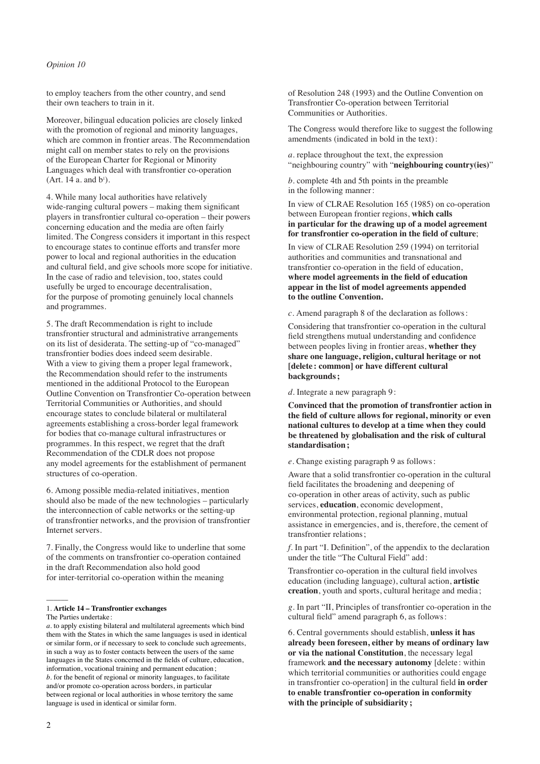# *Opinion 10*

to employ teachers from the other country, and send their own teachers to train in it.

Moreover, bilingual education policies are closely linked with the promotion of regional and minority languages, which are common in frontier areas. The Recommendation might call on member states to rely on the provisions of the European Charter for Regional or Minority Languages which deal with transfrontier co-operation  $(A$ rt. 14 a. and  $b^{\iota}$ ).

4. While many local authorities have relatively wide-ranging cultural powers – making them significant players in transfrontier cultural co-operation – their powers concerning education and the media are often fairly limited. The Congress considers it important in this respect to encourage states to continue efforts and transfer more power to local and regional authorities in the education and cultural field, and give schools more scope for initiative. In the case of radio and television, too, states could usefully be urged to encourage decentralisation, for the purpose of promoting genuinely local channels and programmes.

5. The draft Recommendation is right to include transfrontier structural and administrative arrangements on its list of desiderata. The setting-up of "co-managed" transfrontier bodies does indeed seem desirable. With a view to giving them a proper legal framework, the Recommendation should refer to the instruments mentioned in the additional Protocol to the European Outline Convention on Transfrontier Co-operation between Territorial Communities or Authorities, and should encourage states to conclude bilateral or multilateral agreements establishing a cross-border legal framework for bodies that co-manage cultural infrastructures or programmes. In this respect, we regret that the draft Recommendation of the CDLR does not propose any model agreements for the establishment of permanent structures of co-operation.

6. Among possible media-related initiatives, mention should also be made of the new technologies – particularly the interconnection of cable networks or the setting-up of transfrontier networks, and the provision of transfrontier Internet servers.

7. Finally, the Congress would like to underline that some of the comments on transfrontier co-operation contained in the draft Recommendation also hold good for inter-territorial co-operation within the meaning

#### 1. **Article 14 – Transfrontier exchanges** The Parties undertake :

of Resolution 248 (1993) and the Outline Convention on Transfrontier Co-operation between Territorial Communities or Authorities.

The Congress would therefore like to suggest the following amendments (indicated in bold in the text) :

*a*. replace throughout the text, the expression "neighbouring country" with "**neighbouring country(ies)**"

*b*. complete 4th and 5th points in the preamble in the following manner :

In view of CLRAE Resolution 165 (1985) on co-operation between European frontier regions, **which calls in particular for the drawing up of a model agreement for transfrontier co-operation in the field of culture**;

In view of CLRAE Resolution 259 (1994) on territorial authorities and communities and transnational and transfrontier co-operation in the field of education, **where model agreements in the field of education appear in the list of model agreements appended to the outline Convention.**

*c*. Amend paragraph 8 of the declaration as follows :

Considering that transfrontier co-operation in the cultural field strengthens mutual understanding and confidence between peoples living in frontier areas, **whether they share one language, religion, cultural heritage or not [delete : common] or have different cultural backgrounds ;**

*d*. Integrate a new paragraph 9:

**Convinced that the promotion of transfrontier action in the field of culture allows for regional, minority or even national cultures to develop at a time when they could be threatened by globalisation and the risk of cultural standardisation ;**

*e*. Change existing paragraph 9 as follows :

Aware that a solid transfrontier co-operation in the cultural field facilitates the broadening and deepening of co-operation in other areas of activity, such as public services, **education**, economic development, environmental protection, regional planning, mutual assistance in emergencies, and is, therefore, the cement of transfrontier relations ;

*f*. In part "I. Definition", of the appendix to the declaration under the title "The Cultural Field" add :

Transfrontier co-operation in the cultural field involves education (including language), cultural action, **artistic creation**, youth and sports, cultural heritage and media ;

*g*. In part "II, Principles of transfrontier co-operation in the cultural field" amend paragraph 6, as follows:

6. Central governments should establish, **unless it has already been foreseen, either by means of ordinary law or via the national Constitution**, the necessary legal framework **and the necessary autonomy** [delete: within which territorial communities or authorities could engage in transfrontier co-operation] in the cultural field **in order to enable transfrontier co-operation in conformity with the principle of subsidiarity ;**

 $\overline{\phantom{a}}$ 

*a*. to apply existing bilateral and multilateral agreements which bind them with the States in which the same languages is used in identical or similar form, or if necessary to seek to conclude such agreements, in such a way as to foster contacts between the users of the same languages in the States concerned in the fields of culture, education, information, vocational training and permanent education; *b*. for the benefit of regional or minority languages, to facilitate and/or promote co-operation across borders, in particular between regional or local authorities in whose territory the same language is used in identical or similar form.